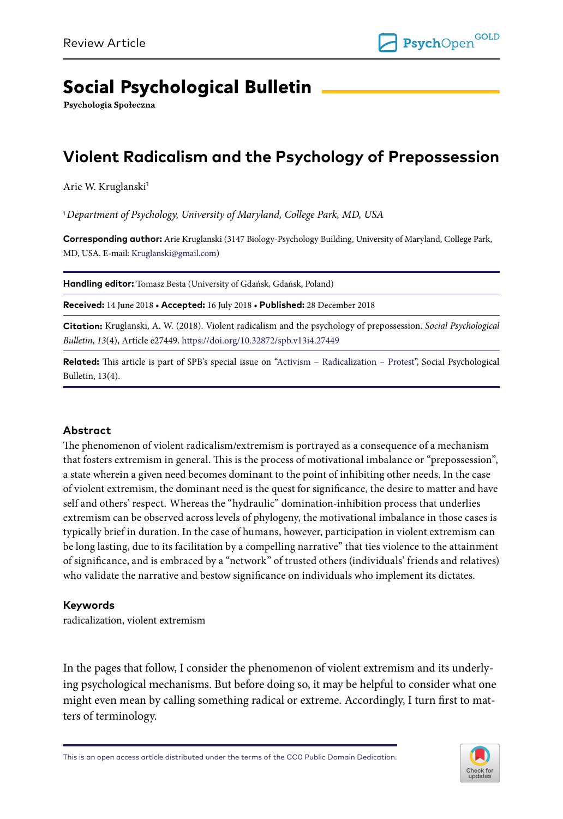# **Social Psychological Bulletin**

Psychologia Społeczna

# **Violent Radicalism and the Psychology of Prepossession**

Arie W. Kruglanski<sup>1</sup>

<sup>1</sup>*Department of Psychology, University of Maryland, College Park, MD, USA*

**Corresponding author:** Arie Kruglanski (3147 Biology-Psychology Building, University of Maryland, College Park, MD, USA. E-mail: [Kruglanski@gmail.com\)](mailto:Kruglanski@gmail.com)

**Handling editor:** Tomasz Besta (University of Gdańsk, Gdańsk, Poland)

**Received:** 14 June 2018 • **Accepted:** 16 July 2018 • **Published:** 28 December 2018

**Citation:** Kruglanski, A. W. (2018). Violent radicalism and the psychology of prepossession. *Social Psychological Bulletin*, *13*(4), Article e27449.<https://doi.org/10.32872/spb.v13i4.27449>

**Related:** This article is part of SPB's special issue on ["Activism – Radicalization – Protest](https://spb.psychopen.eu/issue/1340/)", Social Psychological Bulletin, 13(4).

#### **Abstract**

The phenomenon of violent radicalism/extremism is portrayed as a consequence of a mechanism that fosters extremism in general. This is the process of motivational imbalance or "prepossession", a state wherein a given need becomes dominant to the point of inhibiting other needs. In the case of violent extremism, the dominant need is the quest for significance, the desire to matter and have self and others' respect. Whereas the "hydraulic" domination-inhibition process that underlies extremism can be observed across levels of phylogeny, the motivational imbalance in those cases is typically brief in duration. In the case of humans, however, participation in violent extremism can be long lasting, due to its facilitation by a compelling narrative" that ties violence to the attainment of significance, and is embraced by a "network" of trusted others (individuals' friends and relatives) who validate the narrative and bestow significance on individuals who implement its dictates.

#### **Keywords**

radicalization, violent extremism

In the pages that follow, I consider the phenomenon of violent extremism and its underlying psychological mechanisms. But before doing so, it may be helpful to consider what one might even mean by calling something radical or extreme. Accordingly, I turn first to matters of terminology.

This is an open access article distributed under the terms of the CC0 Public Domain Dedication.

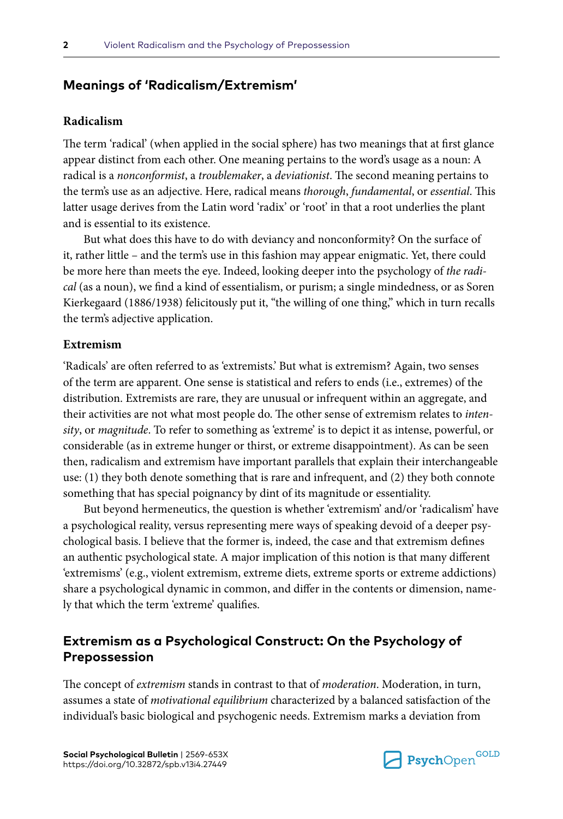# **Meanings of 'Radicalism/Extremism'**

## **Radicalism**

The term 'radical' (when applied in the social sphere) has two meanings that at first glance appear distinct from each other. One meaning pertains to the word's usage as a noun: A radical is a *nonconformist*, a *troublemaker*, a *deviationist*. The second meaning pertains to the term's use as an adjective. Here, radical means *thorough*, *fundamental*, or *essential*. This latter usage derives from the Latin word 'radix' or 'root' in that a root underlies the plant and is essential to its existence.

But what does this have to do with deviancy and nonconformity? On the surface of it, rather little – and the term's use in this fashion may appear enigmatic. Yet, there could be more here than meets the eye. Indeed, looking deeper into the psychology of *the radical* (as a noun), we find a kind of essentialism, or purism; a single mindedness, or as Soren Kierkegaard (1886/1938) felicitously put it, "the willing of one thing," which in turn recalls the term's adjective application.

#### **Extremism**

'Radicals' are often referred to as 'extremists.' But what is extremism? Again, two senses of the term are apparent. One sense is statistical and refers to ends (i.e., extremes) of the distribution. Extremists are rare, they are unusual or infrequent within an aggregate, and their activities are not what most people do. The other sense of extremism relates to *intensity*, or *magnitude*. To refer to something as 'extreme' is to depict it as intense, powerful, or considerable (as in extreme hunger or thirst, or extreme disappointment). As can be seen then, radicalism and extremism have important parallels that explain their interchangeable use: (1) they both denote something that is rare and infrequent, and (2) they both connote something that has special poignancy by dint of its magnitude or essentiality.

But beyond hermeneutics, the question is whether 'extremism' and/or 'radicalism' have a psychological reality, versus representing mere ways of speaking devoid of a deeper psychological basis. I believe that the former is, indeed, the case and that extremism defines an authentic psychological state. A major implication of this notion is that many different 'extremisms' (e.g., violent extremism, extreme diets, extreme sports or extreme addictions) share a psychological dynamic in common, and differ in the contents or dimension, namely that which the term 'extreme' qualifies.

## **Extremism as a Psychological Construct: On the Psychology of Prepossession**

The concept of *extremism* stands in contrast to that of *moderation*. Moderation, in turn, assumes a state of *motivational equilibrium* characterized by a balanced satisfaction of the individual's basic biological and psychogenic needs. Extremism marks a deviation from

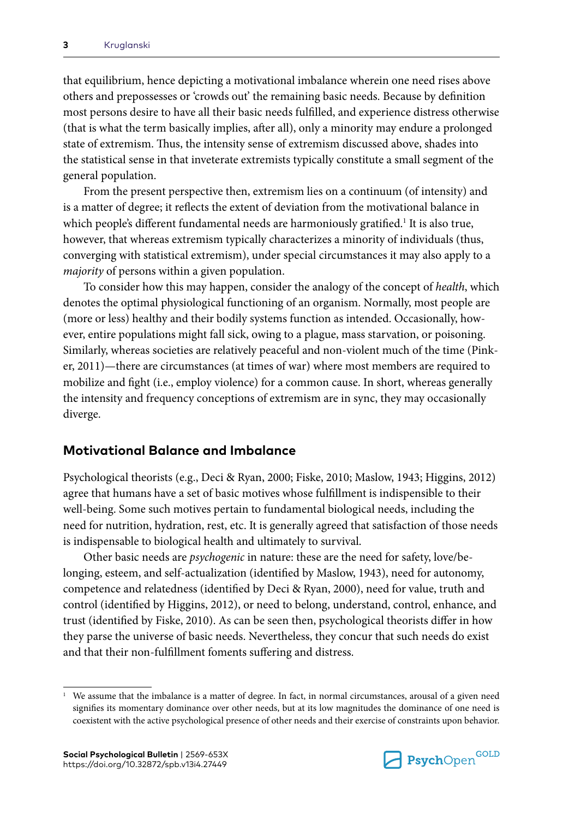that equilibrium, hence depicting a motivational imbalance wherein one need rises above others and prepossesses or 'crowds out' the remaining basic needs. Because by definition most persons desire to have all their basic needs fulfilled, and experience distress otherwise (that is what the term basically implies, after all), only a minority may endure a prolonged state of extremism. Thus, the intensity sense of extremism discussed above, shades into the statistical sense in that inveterate extremists typically constitute a small segment of the general population.

From the present perspective then, extremism lies on a continuum (of intensity) and is a matter of degree; it reflects the extent of deviation from the motivational balance in which people's different fundamental needs are harmoniously gratified.<sup>1</sup> It is also true, however, that whereas extremism typically characterizes a minority of individuals (thus, converging with statistical extremism), under special circumstances it may also apply to a *majority* of persons within a given population.

To consider how this may happen, consider the analogy of the concept of *health*, which denotes the optimal physiological functioning of an organism. Normally, most people are (more or less) healthy and their bodily systems function as intended. Occasionally, however, entire populations might fall sick, owing to a plague, mass starvation, or poisoning. Similarly, whereas societies are relatively peaceful and non-violent much of the time (Pinker, 2011)—there are circumstances (at times of war) where most members are required to mobilize and fight (i.e., employ violence) for a common cause. In short, whereas generally the intensity and frequency conceptions of extremism are in sync, they may occasionally diverge.

## **Motivational Balance and Imbalance**

Psychological theorists (e.g., Deci & Ryan, 2000; Fiske, 2010; Maslow, 1943; Higgins, 2012) agree that humans have a set of basic motives whose fulfillment is indispensible to their well-being. Some such motives pertain to fundamental biological needs, including the need for nutrition, hydration, rest, etc. It is generally agreed that satisfaction of those needs is indispensable to biological health and ultimately to survival.

Other basic needs are *psychogenic* in nature: these are the need for safety, love/belonging, esteem, and self-actualization (identified by Maslow, 1943), need for autonomy, competence and relatedness (identified by Deci & Ryan, 2000), need for value, truth and control (identified by Higgins, 2012), or need to belong, understand, control, enhance, and trust (identified by Fiske, 2010). As can be seen then, psychological theorists differ in how they parse the universe of basic needs. Nevertheless, they concur that such needs do exist and that their non-fulfillment foments suffering and distress.



<sup>1</sup> We assume that the imbalance is a matter of degree. In fact, in normal circumstances, arousal of a given need signifies its momentary dominance over other needs, but at its low magnitudes the dominance of one need is coexistent with the active psychological presence of other needs and their exercise of constraints upon behavior.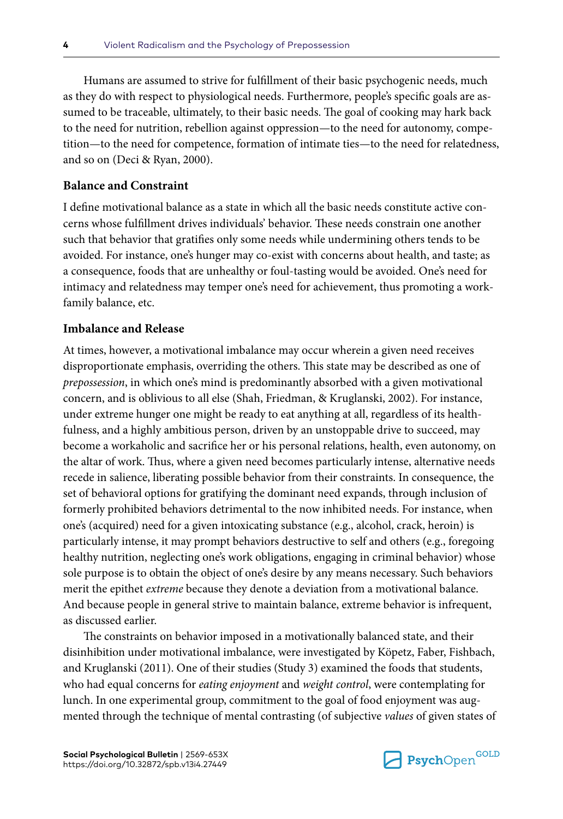Humans are assumed to strive for fulfillment of their basic psychogenic needs, much as they do with respect to physiological needs. Furthermore, people's specific goals are assumed to be traceable, ultimately, to their basic needs. The goal of cooking may hark back to the need for nutrition, rebellion against oppression—to the need for autonomy, competition—to the need for competence, formation of intimate ties—to the need for relatedness, and so on (Deci & Ryan, 2000).

### **Balance and Constraint**

I define motivational balance as a state in which all the basic needs constitute active concerns whose fulfillment drives individuals' behavior. These needs constrain one another such that behavior that gratifies only some needs while undermining others tends to be avoided. For instance, one's hunger may co-exist with concerns about health, and taste; as a consequence, foods that are unhealthy or foul-tasting would be avoided. One's need for intimacy and relatedness may temper one's need for achievement, thus promoting a workfamily balance, etc.

### **Imbalance and Release**

At times, however, a motivational imbalance may occur wherein a given need receives disproportionate emphasis, overriding the others. This state may be described as one of *prepossession*, in which one's mind is predominantly absorbed with a given motivational concern, and is oblivious to all else (Shah, Friedman, & Kruglanski, 2002). For instance, under extreme hunger one might be ready to eat anything at all, regardless of its healthfulness, and a highly ambitious person, driven by an unstoppable drive to succeed, may become a workaholic and sacrifice her or his personal relations, health, even autonomy, on the altar of work. Thus, where a given need becomes particularly intense, alternative needs recede in salience, liberating possible behavior from their constraints. In consequence, the set of behavioral options for gratifying the dominant need expands, through inclusion of formerly prohibited behaviors detrimental to the now inhibited needs. For instance, when one's (acquired) need for a given intoxicating substance (e.g., alcohol, crack, heroin) is particularly intense, it may prompt behaviors destructive to self and others (e.g., foregoing healthy nutrition, neglecting one's work obligations, engaging in criminal behavior) whose sole purpose is to obtain the object of one's desire by any means necessary. Such behaviors merit the epithet *extreme* because they denote a deviation from a motivational balance. And because people in general strive to maintain balance, extreme behavior is infrequent, as discussed earlier.

The constraints on behavior imposed in a motivationally balanced state, and their disinhibition under motivational imbalance, were investigated by Köpetz, Faber, Fishbach, and Kruglanski (2011). One of their studies (Study 3) examined the foods that students, who had equal concerns for *eating enjoyment* and *weight control*, were contemplating for lunch. In one experimental group, commitment to the goal of food enjoyment was augmented through the technique of mental contrasting (of subjective *values* of given states of

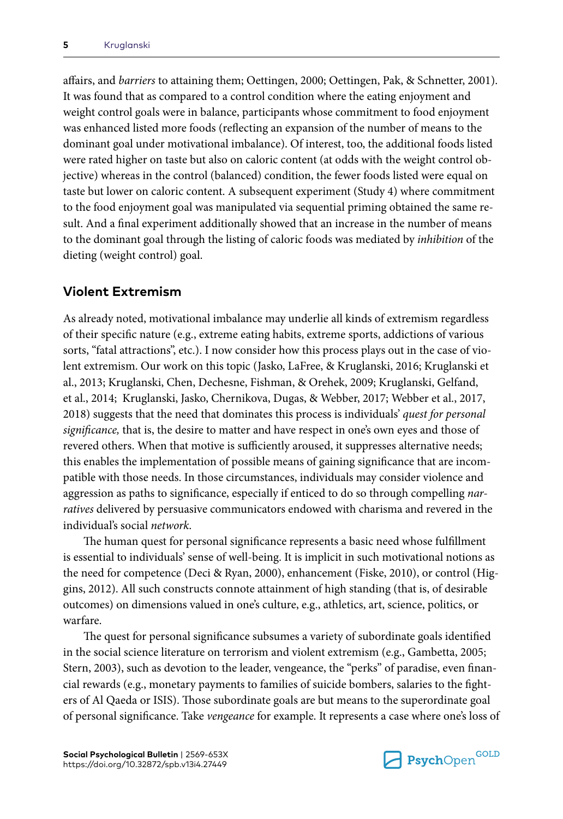affairs, and *barriers* to attaining them; Oettingen, 2000; Oettingen, Pak, & Schnetter, 2001). It was found that as compared to a control condition where the eating enjoyment and weight control goals were in balance, participants whose commitment to food enjoyment was enhanced listed more foods (reflecting an expansion of the number of means to the dominant goal under motivational imbalance). Of interest, too, the additional foods listed were rated higher on taste but also on caloric content (at odds with the weight control objective) whereas in the control (balanced) condition, the fewer foods listed were equal on taste but lower on caloric content. A subsequent experiment (Study 4) where commitment to the food enjoyment goal was manipulated via sequential priming obtained the same result. And a final experiment additionally showed that an increase in the number of means to the dominant goal through the listing of caloric foods was mediated by *inhibition* of the dieting (weight control) goal.

# **Violent Extremism**

As already noted, motivational imbalance may underlie all kinds of extremism regardless of their specific nature (e.g., extreme eating habits, extreme sports, addictions of various sorts, "fatal attractions", etc.). I now consider how this process plays out in the case of violent extremism. Our work on this topic (Jasko, LaFree, & Kruglanski, 2016; Kruglanski et al., 2013; Kruglanski, Chen, Dechesne, Fishman, & Orehek, 2009; Kruglanski, Gelfand, et al., 2014; Kruglanski, Jasko, Chernikova, Dugas, & Webber, 2017; Webber et al., 2017, 2018) suggests that the need that dominates this process is individuals' *quest for personal significance,* that is, the desire to matter and have respect in one's own eyes and those of revered others. When that motive is sufficiently aroused, it suppresses alternative needs; this enables the implementation of possible means of gaining significance that are incompatible with those needs. In those circumstances, individuals may consider violence and aggression as paths to significance, especially if enticed to do so through compelling *narratives* delivered by persuasive communicators endowed with charisma and revered in the individual's social *network*.

The human quest for personal significance represents a basic need whose fulfillment is essential to individuals' sense of well-being. It is implicit in such motivational notions as the need for competence (Deci & Ryan, 2000), enhancement (Fiske, 2010), or control (Higgins, 2012). All such constructs connote attainment of high standing (that is, of desirable outcomes) on dimensions valued in one's culture, e.g., athletics, art, science, politics, or warfare.

The quest for personal significance subsumes a variety of subordinate goals identified in the social science literature on terrorism and violent extremism (e.g., Gambetta, 2005; Stern, 2003), such as devotion to the leader, vengeance, the "perks" of paradise, even financial rewards (e.g., monetary payments to families of suicide bombers, salaries to the fighters of Al Qaeda or ISIS). Those subordinate goals are but means to the superordinate goal of personal significance. Take *vengeance* for example. It represents a case where one's loss of

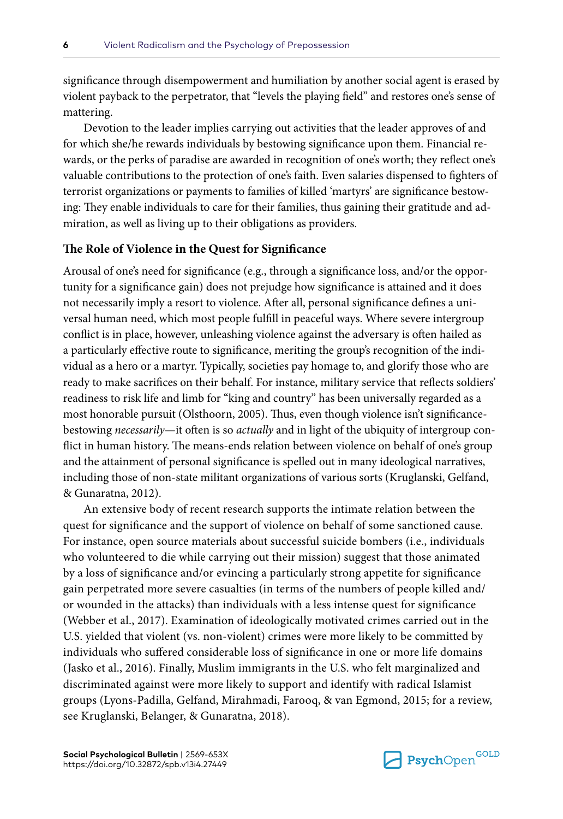significance through disempowerment and humiliation by another social agent is erased by violent payback to the perpetrator, that "levels the playing field" and restores one's sense of mattering.

Devotion to the leader implies carrying out activities that the leader approves of and for which she/he rewards individuals by bestowing significance upon them. Financial rewards, or the perks of paradise are awarded in recognition of one's worth; they reflect one's valuable contributions to the protection of one's faith. Even salaries dispensed to fighters of terrorist organizations or payments to families of killed 'martyrs' are significance bestowing: They enable individuals to care for their families, thus gaining their gratitude and admiration, as well as living up to their obligations as providers.

## **The Role of Violence in the Quest for Significance**

Arousal of one's need for significance (e.g., through a significance loss, and/or the opportunity for a significance gain) does not prejudge how significance is attained and it does not necessarily imply a resort to violence. After all, personal significance defines a universal human need, which most people fulfill in peaceful ways. Where severe intergroup conflict is in place, however, unleashing violence against the adversary is often hailed as a particularly effective route to significance, meriting the group's recognition of the individual as a hero or a martyr. Typically, societies pay homage to, and glorify those who are ready to make sacrifices on their behalf. For instance, military service that reflects soldiers' readiness to risk life and limb for "king and country" has been universally regarded as a most honorable pursuit (Olsthoorn, 2005). Thus, even though violence isn't significancebestowing *necessarily*—it often is so *actually* and in light of the ubiquity of intergroup conflict in human history. The means-ends relation between violence on behalf of one's group and the attainment of personal significance is spelled out in many ideological narratives, including those of non-state militant organizations of various sorts (Kruglanski, Gelfand, & Gunaratna, 2012).

An extensive body of recent research supports the intimate relation between the quest for significance and the support of violence on behalf of some sanctioned cause. For instance, open source materials about successful suicide bombers (i.e., individuals who volunteered to die while carrying out their mission) suggest that those animated by a loss of significance and/or evincing a particularly strong appetite for significance gain perpetrated more severe casualties (in terms of the numbers of people killed and/ or wounded in the attacks) than individuals with a less intense quest for significance (Webber et al., 2017). Examination of ideologically motivated crimes carried out in the U.S. yielded that violent (vs. non-violent) crimes were more likely to be committed by individuals who suffered considerable loss of significance in one or more life domains (Jasko et al., 2016). Finally, Muslim immigrants in the U.S. who felt marginalized and discriminated against were more likely to support and identify with radical Islamist groups (Lyons-Padilla, Gelfand, Mirahmadi, Farooq, & van Egmond, 2015; for a review, see Kruglanski, Belanger, & Gunaratna, 2018).

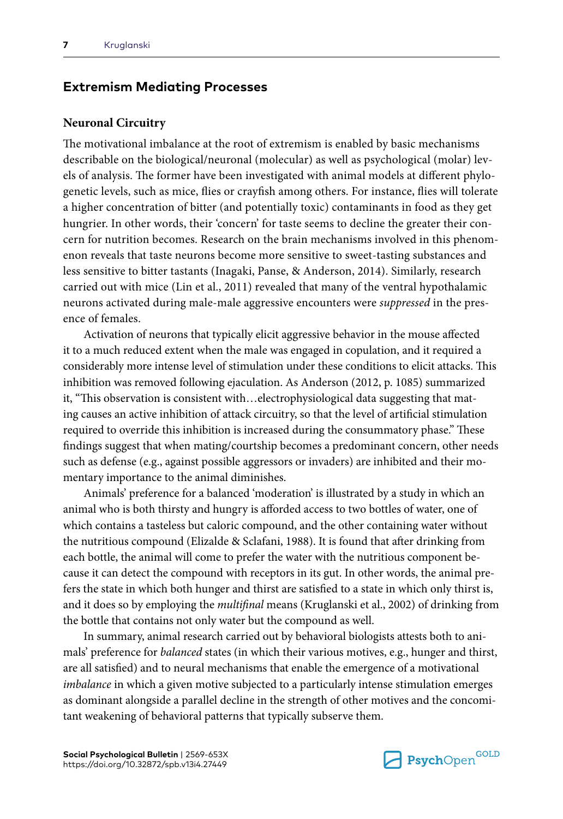## **Extremism Mediating Processes**

#### **Neuronal Circuitry**

The motivational imbalance at the root of extremism is enabled by basic mechanisms describable on the biological/neuronal (molecular) as well as psychological (molar) levels of analysis. The former have been investigated with animal models at different phylogenetic levels, such as mice, flies or crayfish among others. For instance, flies will tolerate a higher concentration of bitter (and potentially toxic) contaminants in food as they get hungrier. In other words, their 'concern' for taste seems to decline the greater their concern for nutrition becomes. Research on the brain mechanisms involved in this phenomenon reveals that taste neurons become more sensitive to sweet-tasting substances and less sensitive to bitter tastants (Inagaki, Panse, & Anderson, 2014). Similarly, research carried out with mice (Lin et al., 2011) revealed that many of the ventral hypothalamic neurons activated during male-male aggressive encounters were *suppressed* in the presence of females.

Activation of neurons that typically elicit aggressive behavior in the mouse affected it to a much reduced extent when the male was engaged in copulation, and it required a considerably more intense level of stimulation under these conditions to elicit attacks. This inhibition was removed following ejaculation. As Anderson (2012, p. 1085) summarized it, "This observation is consistent with…electrophysiological data suggesting that mating causes an active inhibition of attack circuitry, so that the level of artificial stimulation required to override this inhibition is increased during the consummatory phase." These findings suggest that when mating/courtship becomes a predominant concern, other needs such as defense (e.g., against possible aggressors or invaders) are inhibited and their momentary importance to the animal diminishes.

Animals' preference for a balanced 'moderation' is illustrated by a study in which an animal who is both thirsty and hungry is afforded access to two bottles of water, one of which contains a tasteless but caloric compound, and the other containing water without the nutritious compound (Elizalde & Sclafani, 1988). It is found that after drinking from each bottle, the animal will come to prefer the water with the nutritious component because it can detect the compound with receptors in its gut. In other words, the animal prefers the state in which both hunger and thirst are satisfied to a state in which only thirst is, and it does so by employing the *multifinal* means (Kruglanski et al., 2002) of drinking from the bottle that contains not only water but the compound as well.

In summary, animal research carried out by behavioral biologists attests both to animals' preference for *balanced* states (in which their various motives, e.g., hunger and thirst, are all satisfied) and to neural mechanisms that enable the emergence of a motivational *imbalance* in which a given motive subjected to a particularly intense stimulation emerges as dominant alongside a parallel decline in the strength of other motives and the concomitant weakening of behavioral patterns that typically subserve them.

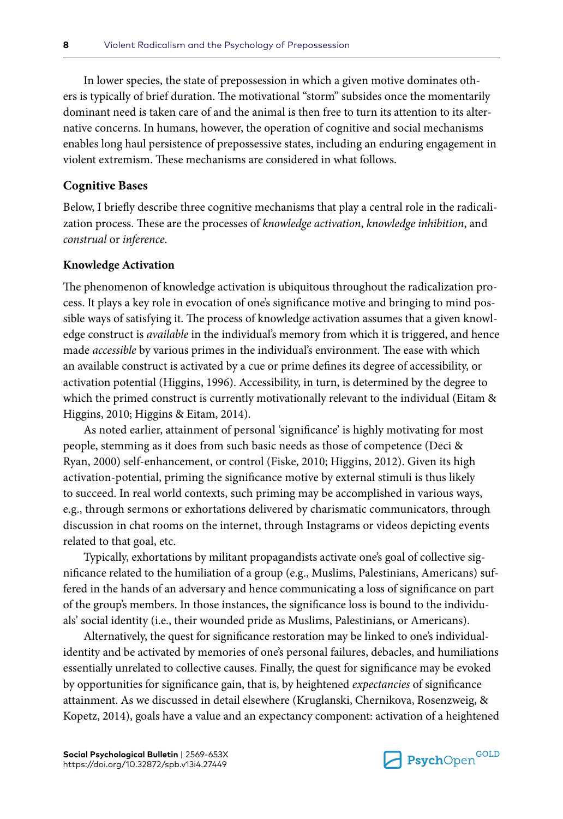In lower species, the state of prepossession in which a given motive dominates others is typically of brief duration. The motivational "storm" subsides once the momentarily dominant need is taken care of and the animal is then free to turn its attention to its alternative concerns. In humans, however, the operation of cognitive and social mechanisms enables long haul persistence of prepossessive states, including an enduring engagement in violent extremism. These mechanisms are considered in what follows.

#### **Cognitive Bases**

Below, I briefly describe three cognitive mechanisms that play a central role in the radicalization process. These are the processes of *knowledge activation*, *knowledge inhibition*, and *construal* or *inference*.

#### **Knowledge Activation**

The phenomenon of knowledge activation is ubiquitous throughout the radicalization process. It plays a key role in evocation of one's significance motive and bringing to mind possible ways of satisfying it. The process of knowledge activation assumes that a given knowledge construct is *available* in the individual's memory from which it is triggered, and hence made *accessible* by various primes in the individual's environment. The ease with which an available construct is activated by a cue or prime defines its degree of accessibility, or activation potential (Higgins, 1996). Accessibility, in turn, is determined by the degree to which the primed construct is currently motivationally relevant to the individual (Eitam & Higgins, 2010; Higgins & Eitam, 2014).

As noted earlier, attainment of personal 'significance' is highly motivating for most people, stemming as it does from such basic needs as those of competence (Deci & Ryan, 2000) self-enhancement, or control (Fiske, 2010; Higgins, 2012). Given its high activation-potential, priming the significance motive by external stimuli is thus likely to succeed. In real world contexts, such priming may be accomplished in various ways, e.g., through sermons or exhortations delivered by charismatic communicators, through discussion in chat rooms on the internet, through Instagrams or videos depicting events related to that goal, etc.

Typically, exhortations by militant propagandists activate one's goal of collective significance related to the humiliation of a group (e.g., Muslims, Palestinians, Americans) suffered in the hands of an adversary and hence communicating a loss of significance on part of the group's members. In those instances, the significance loss is bound to the individuals' social identity (i.e., their wounded pride as Muslims, Palestinians, or Americans).

Alternatively, the quest for significance restoration may be linked to one's individualidentity and be activated by memories of one's personal failures, debacles, and humiliations essentially unrelated to collective causes. Finally, the quest for significance may be evoked by opportunities for significance gain, that is, by heightened *expectancies* of significance attainment. As we discussed in detail elsewhere (Kruglanski, Chernikova, Rosenzweig, & Kopetz, 2014), goals have a value and an expectancy component: activation of a heightened

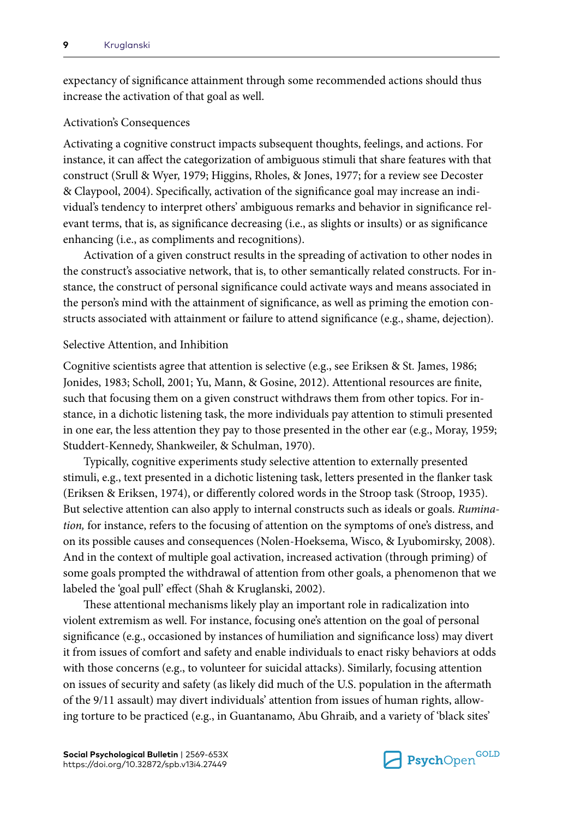expectancy of significance attainment through some recommended actions should thus increase the activation of that goal as well.

#### Activation's Consequences

Activating a cognitive construct impacts subsequent thoughts, feelings, and actions. For instance, it can affect the categorization of ambiguous stimuli that share features with that construct (Srull & Wyer, 1979; Higgins, Rholes, & Jones, 1977; for a review see Decoster & Claypool, 2004). Specifically, activation of the significance goal may increase an individual's tendency to interpret others' ambiguous remarks and behavior in significance relevant terms, that is, as significance decreasing (i.e., as slights or insults) or as significance enhancing (i.e., as compliments and recognitions).

Activation of a given construct results in the spreading of activation to other nodes in the construct's associative network, that is, to other semantically related constructs. For instance, the construct of personal significance could activate ways and means associated in the person's mind with the attainment of significance, as well as priming the emotion constructs associated with attainment or failure to attend significance (e.g., shame, dejection).

#### Selective Attention, and Inhibition

Cognitive scientists agree that attention is selective (e.g., see Eriksen & St. James, 1986; Jonides, 1983; Scholl, 2001; Yu, Mann, & Gosine, 2012). Attentional resources are finite, such that focusing them on a given construct withdraws them from other topics. For instance, in a dichotic listening task, the more individuals pay attention to stimuli presented in one ear, the less attention they pay to those presented in the other ear (e.g., Moray, 1959; Studdert-Kennedy, Shankweiler, & Schulman, 1970).

Typically, cognitive experiments study selective attention to externally presented stimuli, e.g., text presented in a dichotic listening task, letters presented in the flanker task (Eriksen & Eriksen, 1974), or differently colored words in the Stroop task (Stroop, 1935). But selective attention can also apply to internal constructs such as ideals or goals. *Rumination,* for instance, refers to the focusing of attention on the symptoms of one's distress, and on its possible causes and consequences (Nolen-Hoeksema, Wisco, & Lyubomirsky, 2008). And in the context of multiple goal activation, increased activation (through priming) of some goals prompted the withdrawal of attention from other goals, a phenomenon that we labeled the 'goal pull' effect (Shah & Kruglanski, 2002).

These attentional mechanisms likely play an important role in radicalization into violent extremism as well. For instance, focusing one's attention on the goal of personal significance (e.g., occasioned by instances of humiliation and significance loss) may divert it from issues of comfort and safety and enable individuals to enact risky behaviors at odds with those concerns (e.g., to volunteer for suicidal attacks). Similarly, focusing attention on issues of security and safety (as likely did much of the U.S. population in the aftermath of the 9/11 assault) may divert individuals' attention from issues of human rights, allowing torture to be practiced (e.g., in Guantanamo, Abu Ghraib, and a variety of 'black sites'

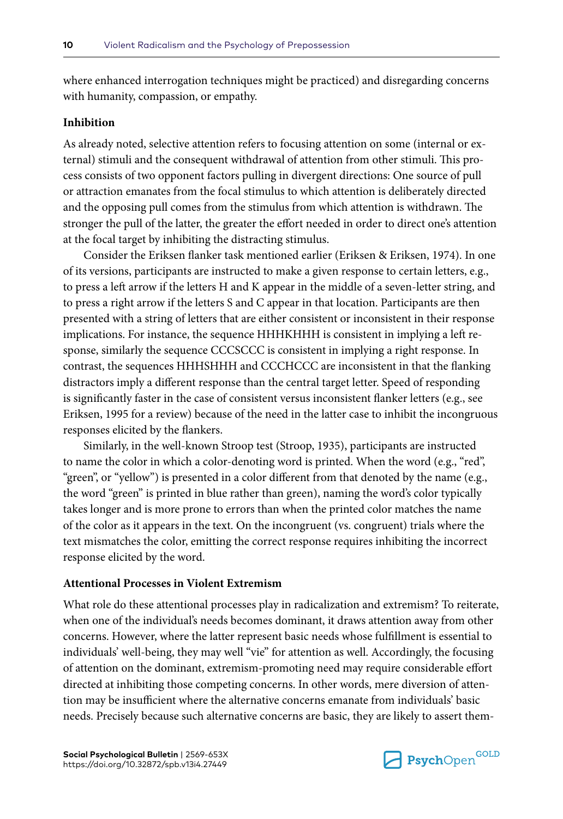where enhanced interrogation techniques might be practiced) and disregarding concerns with humanity, compassion, or empathy.

#### **Inhibition**

As already noted, selective attention refers to focusing attention on some (internal or external) stimuli and the consequent withdrawal of attention from other stimuli. This process consists of two opponent factors pulling in divergent directions: One source of pull or attraction emanates from the focal stimulus to which attention is deliberately directed and the opposing pull comes from the stimulus from which attention is withdrawn. The stronger the pull of the latter, the greater the effort needed in order to direct one's attention at the focal target by inhibiting the distracting stimulus.

Consider the Eriksen flanker task mentioned earlier (Eriksen & Eriksen, 1974). In one of its versions, participants are instructed to make a given response to certain letters, e.g., to press a left arrow if the letters H and K appear in the middle of a seven-letter string, and to press a right arrow if the letters S and C appear in that location. Participants are then presented with a string of letters that are either consistent or inconsistent in their response implications. For instance, the sequence HHHKHHH is consistent in implying a left response, similarly the sequence CCCSCCC is consistent in implying a right response. In contrast, the sequences HHHSHHH and CCCHCCC are inconsistent in that the flanking distractors imply a different response than the central target letter. Speed of responding is significantly faster in the case of consistent versus inconsistent flanker letters (e.g., see Eriksen, 1995 for a review) because of the need in the latter case to inhibit the incongruous responses elicited by the flankers.

Similarly, in the well-known Stroop test (Stroop, 1935), participants are instructed to name the color in which a color-denoting word is printed. When the word (e.g., "red", "green", or "yellow") is presented in a color different from that denoted by the name (e.g., the word "green" is printed in blue rather than green), naming the word's color typically takes longer and is more prone to errors than when the printed color matches the name of the color as it appears in the text. On the incongruent (vs. congruent) trials where the text mismatches the color, emitting the correct response requires inhibiting the incorrect response elicited by the word.

#### **Attentional Processes in Violent Extremism**

What role do these attentional processes play in radicalization and extremism? To reiterate, when one of the individual's needs becomes dominant, it draws attention away from other concerns. However, where the latter represent basic needs whose fulfillment is essential to individuals' well-being, they may well "vie" for attention as well. Accordingly, the focusing of attention on the dominant, extremism-promoting need may require considerable effort directed at inhibiting those competing concerns. In other words, mere diversion of attention may be insufficient where the alternative concerns emanate from individuals' basic needs. Precisely because such alternative concerns are basic, they are likely to assert them-

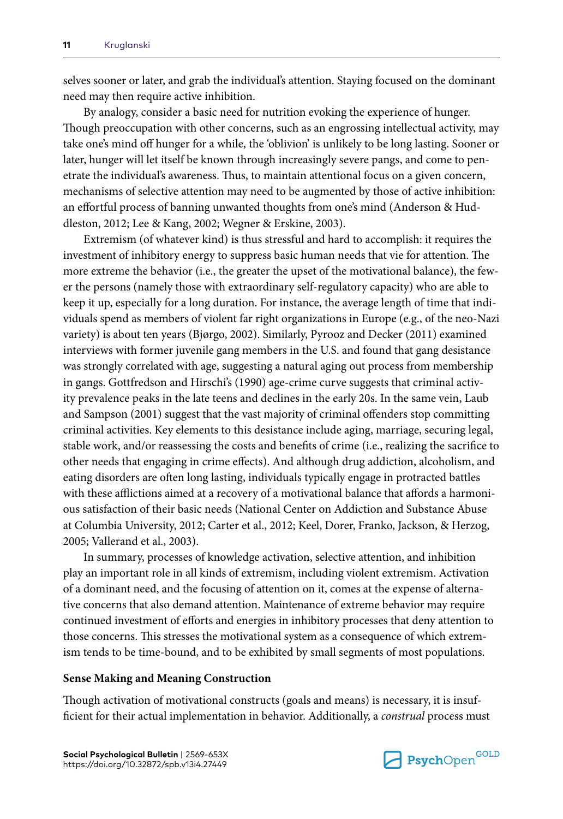selves sooner or later, and grab the individual's attention. Staying focused on the dominant need may then require active inhibition.

By analogy, consider a basic need for nutrition evoking the experience of hunger. Though preoccupation with other concerns, such as an engrossing intellectual activity, may take one's mind off hunger for a while, the 'oblivion' is unlikely to be long lasting. Sooner or later, hunger will let itself be known through increasingly severe pangs, and come to penetrate the individual's awareness. Thus, to maintain attentional focus on a given concern, mechanisms of selective attention may need to be augmented by those of active inhibition: an effortful process of banning unwanted thoughts from one's mind (Anderson & Huddleston, 2012; Lee & Kang, 2002; Wegner & Erskine, 2003).

Extremism (of whatever kind) is thus stressful and hard to accomplish: it requires the investment of inhibitory energy to suppress basic human needs that vie for attention. The more extreme the behavior (i.e., the greater the upset of the motivational balance), the fewer the persons (namely those with extraordinary self-regulatory capacity) who are able to keep it up, especially for a long duration. For instance, the average length of time that individuals spend as members of violent far right organizations in Europe (e.g., of the neo-Nazi variety) is about ten years (Bjørgo, 2002). Similarly, Pyrooz and Decker (2011) examined interviews with former juvenile gang members in the U.S. and found that gang desistance was strongly correlated with age, suggesting a natural aging out process from membership in gangs. Gottfredson and Hirschi's (1990) age-crime curve suggests that criminal activity prevalence peaks in the late teens and declines in the early 20s. In the same vein, Laub and Sampson (2001) suggest that the vast majority of criminal offenders stop committing criminal activities. Key elements to this desistance include aging, marriage, securing legal, stable work, and/or reassessing the costs and benefits of crime (i.e., realizing the sacrifice to other needs that engaging in crime effects). And although drug addiction, alcoholism, and eating disorders are often long lasting, individuals typically engage in protracted battles with these afflictions aimed at a recovery of a motivational balance that affords a harmonious satisfaction of their basic needs (National Center on Addiction and Substance Abuse at Columbia University, 2012; Carter et al., 2012; Keel, Dorer, Franko, Jackson, & Herzog, 2005; Vallerand et al., 2003).

In summary, processes of knowledge activation, selective attention, and inhibition play an important role in all kinds of extremism, including violent extremism. Activation of a dominant need, and the focusing of attention on it, comes at the expense of alternative concerns that also demand attention. Maintenance of extreme behavior may require continued investment of efforts and energies in inhibitory processes that deny attention to those concerns. This stresses the motivational system as a consequence of which extremism tends to be time-bound, and to be exhibited by small segments of most populations.

#### **Sense Making and Meaning Construction**

Though activation of motivational constructs (goals and means) is necessary, it is insufficient for their actual implementation in behavior. Additionally, a *construal* process must

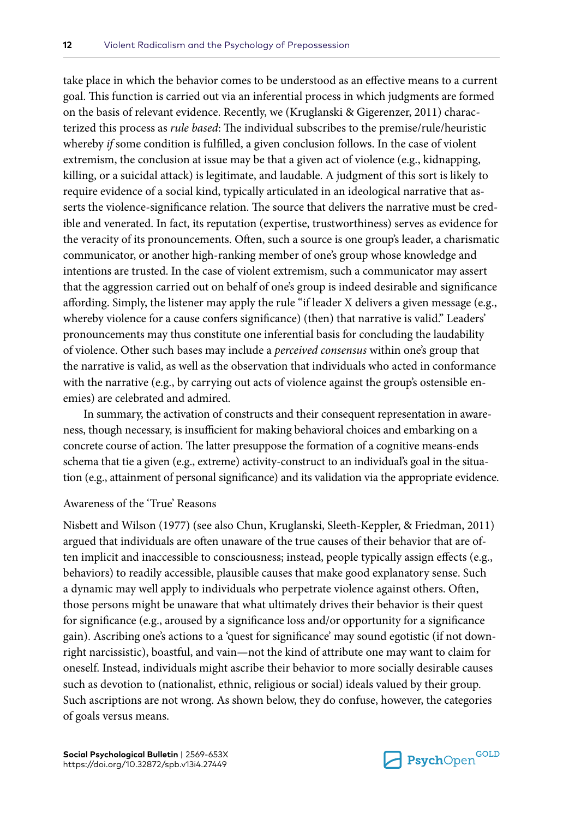take place in which the behavior comes to be understood as an effective means to a current goal. This function is carried out via an inferential process in which judgments are formed on the basis of relevant evidence. Recently, we (Kruglanski & Gigerenzer, 2011) characterized this process as *rule based*: The individual subscribes to the premise/rule/heuristic whereby *if* some condition is fulfilled, a given conclusion follows. In the case of violent extremism, the conclusion at issue may be that a given act of violence (e.g., kidnapping, killing, or a suicidal attack) is legitimate, and laudable. A judgment of this sort is likely to require evidence of a social kind, typically articulated in an ideological narrative that asserts the violence-significance relation. The source that delivers the narrative must be credible and venerated. In fact, its reputation (expertise, trustworthiness) serves as evidence for the veracity of its pronouncements. Often, such a source is one group's leader, a charismatic communicator, or another high-ranking member of one's group whose knowledge and intentions are trusted. In the case of violent extremism, such a communicator may assert that the aggression carried out on behalf of one's group is indeed desirable and significance affording. Simply, the listener may apply the rule "if leader X delivers a given message (e.g., whereby violence for a cause confers significance) (then) that narrative is valid." Leaders' pronouncements may thus constitute one inferential basis for concluding the laudability of violence. Other such bases may include a *perceived consensus* within one's group that the narrative is valid, as well as the observation that individuals who acted in conformance with the narrative (e.g., by carrying out acts of violence against the group's ostensible enemies) are celebrated and admired.

In summary, the activation of constructs and their consequent representation in awareness, though necessary, is insufficient for making behavioral choices and embarking on a concrete course of action. The latter presuppose the formation of a cognitive means-ends schema that tie a given (e.g., extreme) activity-construct to an individual's goal in the situation (e.g., attainment of personal significance) and its validation via the appropriate evidence.

#### Awareness of the 'True' Reasons

Nisbett and Wilson (1977) (see also Chun, Kruglanski, Sleeth-Keppler, & Friedman, 2011) argued that individuals are often unaware of the true causes of their behavior that are often implicit and inaccessible to consciousness; instead, people typically assign effects (e.g., behaviors) to readily accessible, plausible causes that make good explanatory sense. Such a dynamic may well apply to individuals who perpetrate violence against others. Often, those persons might be unaware that what ultimately drives their behavior is their quest for significance (e.g., aroused by a significance loss and/or opportunity for a significance gain). Ascribing one's actions to a 'quest for significance' may sound egotistic (if not downright narcissistic), boastful, and vain—not the kind of attribute one may want to claim for oneself. Instead, individuals might ascribe their behavior to more socially desirable causes such as devotion to (nationalist, ethnic, religious or social) ideals valued by their group. Such ascriptions are not wrong. As shown below, they do confuse, however, the categories of goals versus means.

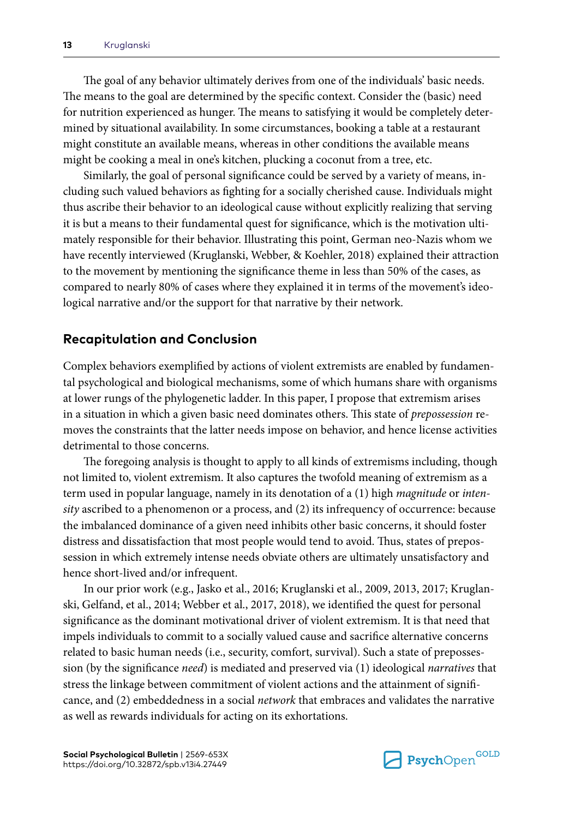The goal of any behavior ultimately derives from one of the individuals' basic needs. The means to the goal are determined by the specific context. Consider the (basic) need for nutrition experienced as hunger. The means to satisfying it would be completely determined by situational availability. In some circumstances, booking a table at a restaurant might constitute an available means, whereas in other conditions the available means might be cooking a meal in one's kitchen, plucking a coconut from a tree, etc.

Similarly, the goal of personal significance could be served by a variety of means, including such valued behaviors as fighting for a socially cherished cause. Individuals might thus ascribe their behavior to an ideological cause without explicitly realizing that serving it is but a means to their fundamental quest for significance, which is the motivation ultimately responsible for their behavior. Illustrating this point, German neo-Nazis whom we have recently interviewed (Kruglanski, Webber, & Koehler, 2018) explained their attraction to the movement by mentioning the significance theme in less than 50% of the cases, as compared to nearly 80% of cases where they explained it in terms of the movement's ideological narrative and/or the support for that narrative by their network.

## **Recapitulation and Conclusion**

Complex behaviors exemplified by actions of violent extremists are enabled by fundamental psychological and biological mechanisms, some of which humans share with organisms at lower rungs of the phylogenetic ladder. In this paper, I propose that extremism arises in a situation in which a given basic need dominates others. This state of *prepossession* removes the constraints that the latter needs impose on behavior, and hence license activities detrimental to those concerns.

The foregoing analysis is thought to apply to all kinds of extremisms including, though not limited to, violent extremism. It also captures the twofold meaning of extremism as a term used in popular language, namely in its denotation of a (1) high *magnitude* or *intensity* ascribed to a phenomenon or a process, and (2) its infrequency of occurrence: because the imbalanced dominance of a given need inhibits other basic concerns, it should foster distress and dissatisfaction that most people would tend to avoid. Thus, states of prepossession in which extremely intense needs obviate others are ultimately unsatisfactory and hence short-lived and/or infrequent.

In our prior work (e.g., Jasko et al., 2016; Kruglanski et al., 2009, 2013, 2017; Kruglanski, Gelfand, et al., 2014; Webber et al., 2017, 2018), we identified the quest for personal significance as the dominant motivational driver of violent extremism. It is that need that impels individuals to commit to a socially valued cause and sacrifice alternative concerns related to basic human needs (i.e., security, comfort, survival). Such a state of prepossession (by the significance *need*) is mediated and preserved via (1) ideological *narratives* that stress the linkage between commitment of violent actions and the attainment of significance, and (2) embeddedness in a social *network* that embraces and validates the narrative as well as rewards individuals for acting on its exhortations.

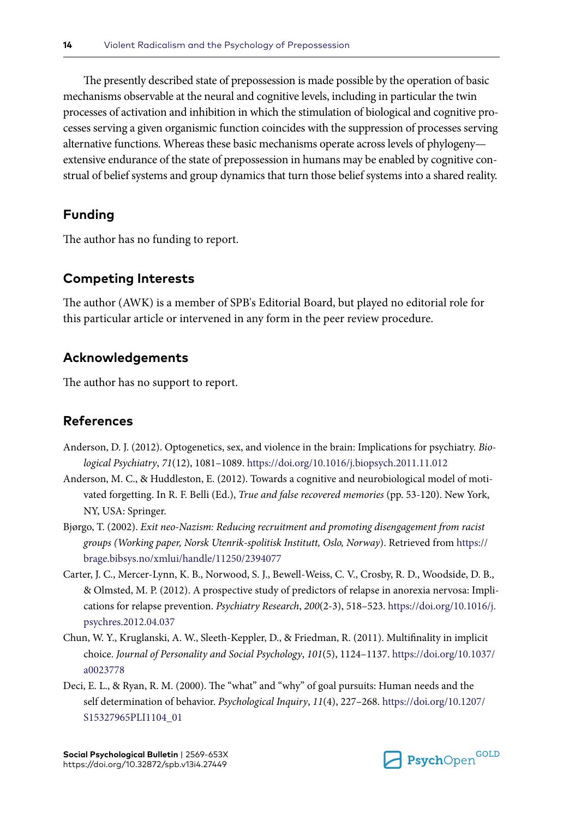The presently described state of prepossession is made possible by the operation of basic mechanisms observable at the neural and cognitive levels, including in particular the twin processes of activation and inhibition in which the stimulation of biological and cognitive processes serving a given organismic function coincides with the suppression of processes serving alternative functions. Whereas these basic mechanisms operate across levels of phylogeny extensive endurance of the state of prepossession in humans may be enabled by cognitive construal of belief systems and group dynamics that turn those belief systems into a shared reality.

# **Funding**

The author has no funding to report.

## **Competing Interests**

The author (AWK) is a member of SPB's Editorial Board, but played no editorial role for this particular article or intervened in any form in the peer review procedure.

## **Acknowledgements**

The author has no support to report.

# **References**

- Anderson, D. J. (2012). Optogenetics, sex, and violence in the brain: Implications for psychiatry. *Biological Psychiatry*, *71*(12), 1081–1089.<https://doi.org/10.1016/j.biopsych.2011.11.012>
- Anderson, M. C., & Huddleston, E. (2012). Towards a cognitive and neurobiological model of motivated forgetting. In R. F. Belli (Ed.), *True and false recovered memories* (pp. 53-120). New York, NY, USA: Springer.
- Bjørgo, T. (2002). *Exit neo-Nazism: Reducing recruitment and promoting disengagement from racist groups (Working paper, Norsk Utenrik-spolitisk Institutt, Oslo, Norway*). Retrieved from [https://](https://brage.bibsys.no/xmlui/handle/11250/2394077) [brage.bibsys.no/xmlui/handle/11250/2394077](https://brage.bibsys.no/xmlui/handle/11250/2394077)
- Carter, J. C., Mercer-Lynn, K. B., Norwood, S. J., Bewell-Weiss, C. V., Crosby, R. D., Woodside, D. B., & Olmsted, M. P. (2012). A prospective study of predictors of relapse in anorexia nervosa: Implications for relapse prevention. *Psychiatry Research*, *200*(2-3), 518–523. [https://doi.org/10.1016/j.](https://doi.org/10.1016/j.psychres.2012.04.037) [psychres.2012.04.037](https://doi.org/10.1016/j.psychres.2012.04.037)
- Chun, W. Y., Kruglanski, A. W., Sleeth-Keppler, D., & Friedman, R. (2011). Multifinality in implicit choice. *Journal of Personality and Social Psychology*, *101*(5), 1124–1137. [https://doi.org/10.1037/](https://doi.org/10.1037/a0023778) [a0023778](https://doi.org/10.1037/a0023778)
- Deci, E. L., & Ryan, R. M. (2000). The "what" and "why" of goal pursuits: Human needs and the self determination of behavior. *Psychological Inquiry*, *11*(4), 227–268. [https://doi.org/10.1207/](https://doi.org/10.1207/S15327965PLI1104_01) [S15327965PLI1104\\_01](https://doi.org/10.1207/S15327965PLI1104_01)

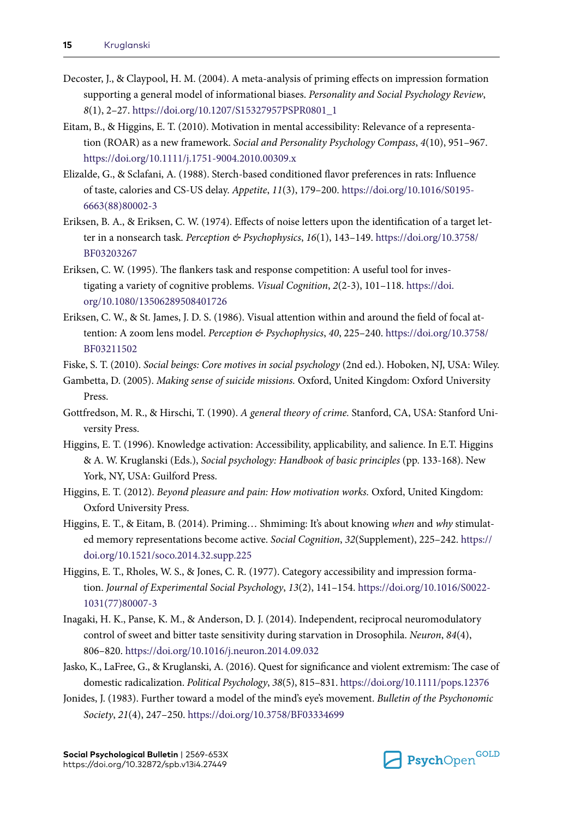- Decoster, J., & Claypool, H. M. (2004). A meta-analysis of priming effects on impression formation supporting a general model of informational biases. *Personality and Social Psychology Review*, *8*(1), 2–27. [https://doi.org/10.1207/S15327957PSPR0801\\_1](https://doi.org/10.1207/S15327957PSPR0801_1)
- Eitam, B., & Higgins, E. T. (2010). Motivation in mental accessibility: Relevance of a representation (ROAR) as a new framework. *Social and Personality Psychology Compass*, *4*(10), 951–967. <https://doi.org/10.1111/j.1751-9004.2010.00309.x>
- Elizalde, G., & Sclafani, A. (1988). Sterch-based conditioned flavor preferences in rats: Influence of taste, calories and CS-US delay. *Appetite*, *11*(3), 179–200. [https://doi.org/10.1016/S0195-](https://doi.org/10.1016/S0195-6663(88)80002-3) [6663\(88\)80002-3](https://doi.org/10.1016/S0195-6663(88)80002-3)
- Eriksen, B. A., & Eriksen, C. W. (1974). Effects of noise letters upon the identification of a target letter in a nonsearch task. *Perception & Psychophysics*, *16*(1), 143–149. [https://doi.org/10.3758/](https://doi.org/10.3758/BF03203267) [BF03203267](https://doi.org/10.3758/BF03203267)
- Eriksen, C. W. (1995). The flankers task and response competition: A useful tool for investigating a variety of cognitive problems. *Visual Cognition*, *2*(2-3), 101–118. [https://doi.](https://doi.org/10.1080/13506289508401726) [org/10.1080/13506289508401726](https://doi.org/10.1080/13506289508401726)
- Eriksen, C. W., & St. James, J. D. S. (1986). Visual attention within and around the field of focal attention: A zoom lens model. *Perception & Psychophysics*, *40*, 225–240. [https://doi.org/10.3758/](https://doi.org/10.3758/BF03211502) [BF03211502](https://doi.org/10.3758/BF03211502)
- Fiske, S. T. (2010). *Social beings: Core motives in social psychology* (2nd ed.). Hoboken, NJ, USA: Wiley.
- Gambetta, D. (2005). *Making sense of suicide missions.* Oxford, United Kingdom: Oxford University Press.
- Gottfredson, M. R., & Hirschi, T. (1990). *A general theory of crime.* Stanford, CA, USA: Stanford University Press.
- Higgins, E. T. (1996). Knowledge activation: Accessibility, applicability, and salience. In E.T. Higgins & A. W. Kruglanski (Eds.), *Social psychology: Handbook of basic principles* (pp. 133-168). New York, NY, USA: Guilford Press.
- Higgins, E. T. (2012). *Beyond pleasure and pain: How motivation works.* Oxford, United Kingdom: Oxford University Press.
- Higgins, E. T., & Eitam, B. (2014). Priming… Shmiming: It's about knowing *when* and *why* stimulated memory representations become active. *Social Cognition*, *32*(Supplement), 225–242. [https://](https://doi.org/10.1521/soco.2014.32.supp.225) [doi.org/10.1521/soco.2014.32.supp.225](https://doi.org/10.1521/soco.2014.32.supp.225)
- Higgins, E. T., Rholes, W. S., & Jones, C. R. (1977). Category accessibility and impression formation. *Journal of Experimental Social Psychology*, *13*(2), 141–154. [https://doi.org/10.1016/S0022-](https://doi.org/10.1016/S0022-1031(77)80007-3) [1031\(77\)80007-3](https://doi.org/10.1016/S0022-1031(77)80007-3)
- Inagaki, H. K., Panse, K. M., & Anderson, D. J. (2014). Independent, reciprocal neuromodulatory control of sweet and bitter taste sensitivity during starvation in Drosophila. *Neuron*, *84*(4), 806–820.<https://doi.org/10.1016/j.neuron.2014.09.032>
- Jasko, K., LaFree, G., & Kruglanski, A. (2016). Quest for significance and violent extremism: The case of domestic radicalization. *Political Psychology*, *38*(5), 815–831. <https://doi.org/10.1111/pops.12376>
- Jonides, J. (1983). Further toward a model of the mind's eye's movement. *Bulletin of the Psychonomic Society*, *21*(4), 247–250.<https://doi.org/10.3758/BF03334699>

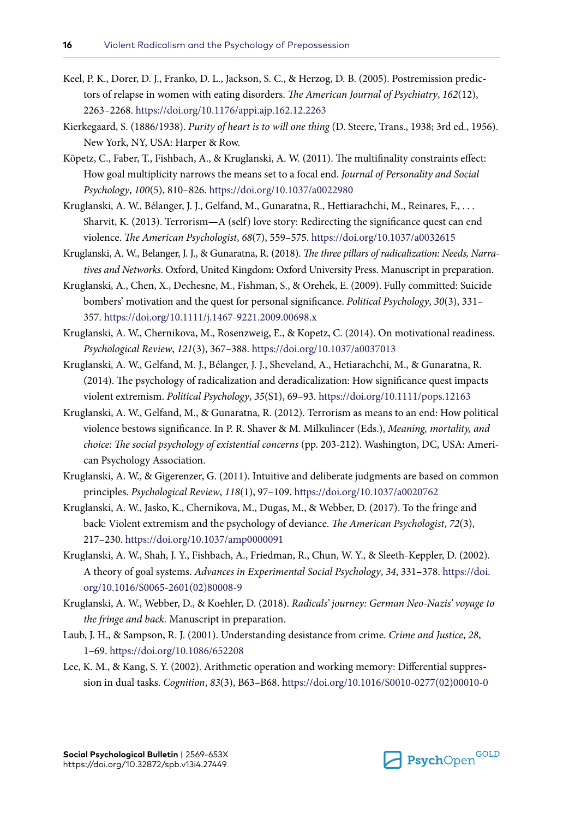- Keel, P. K., Dorer, D. J., Franko, D. L., Jackson, S. C., & Herzog, D. B. (2005). Postremission predictors of relapse in women with eating disorders. *The American Journal of Psychiatry*, *162*(12), 2263–2268. <https://doi.org/10.1176/appi.ajp.162.12.2263>
- Kierkegaard, S. (1886/1938). *Purity of heart is to will one thing* (D. Steere, Trans., 1938; 3rd ed., 1956). New York, NY, USA: Harper & Row.
- Köpetz, C., Faber, T., Fishbach, A., & Kruglanski, A. W. (2011). The multifinality constraints effect: How goal multiplicity narrows the means set to a focal end. *Journal of Personality and Social Psychology*, *100*(5), 810–826. <https://doi.org/10.1037/a0022980>
- Kruglanski, A. W., Bélanger, J. J., Gelfand, M., Gunaratna, R., Hettiarachchi, M., Reinares, F., . . . Sharvit, K. (2013). Terrorism—A (self) love story: Redirecting the significance quest can end violence. *The American Psychologist*, *68*(7), 559–575. <https://doi.org/10.1037/a0032615>
- Kruglanski, A. W., Belanger, J. J., & Gunaratna, R. (2018). *The three pillars of radicalization: Needs, Narratives and Networks*. Oxford, United Kingdom: Oxford University Press. Manuscript in preparation.
- Kruglanski, A., Chen, X., Dechesne, M., Fishman, S., & Orehek, E. (2009). Fully committed: Suicide bombers' motivation and the quest for personal significance. *Political Psychology*, *30*(3), 331– 357. <https://doi.org/10.1111/j.1467-9221.2009.00698.x>
- Kruglanski, A. W., Chernikova, M., Rosenzweig, E., & Kopetz, C. (2014). On motivational readiness. *Psychological Review*, *121*(3), 367–388.<https://doi.org/10.1037/a0037013>
- Kruglanski, A. W., Gelfand, M. J., Bélanger, J. J., Sheveland, A., Hetiarachchi, M., & Gunaratna, R. (2014). The psychology of radicalization and deradicalization: How significance quest impacts violent extremism. *Political Psychology*, *35*(S1), 69–93. <https://doi.org/10.1111/pops.12163>
- Kruglanski, A. W., Gelfand, M., & Gunaratna, R. (2012). Terrorism as means to an end: How political violence bestows significance. In P. R. Shaver & M. Milkulincer (Eds.), *Meaning, mortality, and choice: The social psychology of existential concerns* (pp. 203-212). Washington, DC, USA: American Psychology Association.
- Kruglanski, A. W., & Gigerenzer, G. (2011). Intuitive and deliberate judgments are based on common principles. *Psychological Review*, *118*(1), 97–109. <https://doi.org/10.1037/a0020762>
- Kruglanski, A. W., Jasko, K., Chernikova, M., Dugas, M., & Webber, D. (2017). To the fringe and back: Violent extremism and the psychology of deviance. *The American Psychologist*, *72*(3), 217–230.<https://doi.org/10.1037/amp0000091>
- Kruglanski, A. W., Shah, J. Y., Fishbach, A., Friedman, R., Chun, W. Y., & Sleeth-Keppler, D. (2002). A theory of goal systems. *Advances in Experimental Social Psychology*, *34*, 331–378. [https://doi.](https://doi.org/10.1016/S0065-2601(02)80008-9) [org/10.1016/S0065-2601\(02\)80008-9](https://doi.org/10.1016/S0065-2601(02)80008-9)
- Kruglanski, A. W., Webber, D., & Koehler, D. (2018). *Radicals' journey: German Neo-Nazis' voyage to the fringe and back.* Manuscript in preparation.
- Laub, J. H., & Sampson, R. J. (2001). Understanding desistance from crime. *Crime and Justice*, *28*, 1–69.<https://doi.org/10.1086/652208>
- Lee, K. M., & Kang, S. Y. (2002). Arithmetic operation and working memory: Differential suppression in dual tasks. *Cognition*, *83*(3), B63–B68. [https://doi.org/10.1016/S0010-0277\(02\)00010-0](https://doi.org/10.1016/S0010-0277(02)00010-0)

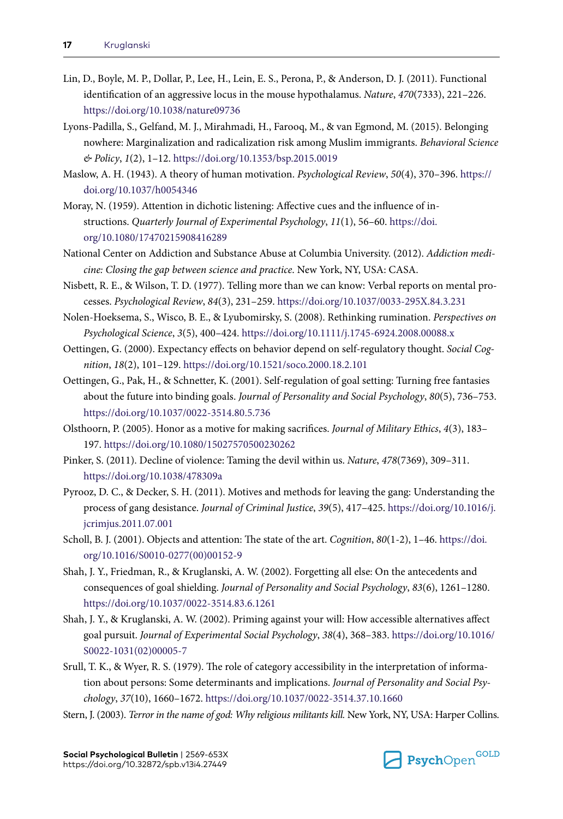- Lin, D., Boyle, M. P., Dollar, P., Lee, H., Lein, E. S., Perona, P., & Anderson, D. J. (2011). Functional identification of an aggressive locus in the mouse hypothalamus. *Nature*, *470*(7333), 221–226. <https://doi.org/10.1038/nature09736>
- Lyons-Padilla, S., Gelfand, M. J., Mirahmadi, H., Farooq, M., & van Egmond, M. (2015). Belonging nowhere: Marginalization and radicalization risk among Muslim immigrants. *Behavioral Science & Policy*, *1*(2), 1–12.<https://doi.org/10.1353/bsp.2015.0019>
- Maslow, A. H. (1943). A theory of human motivation. *Psychological Review*, *50*(4), 370–396. [https://](https://doi.org/10.1037/h0054346) [doi.org/10.1037/h0054346](https://doi.org/10.1037/h0054346)
- Moray, N. (1959). Attention in dichotic listening: Affective cues and the influence of instructions. *Quarterly Journal of Experimental Psychology*, *11*(1), 56–60. [https://doi.](https://doi.org/10.1080/17470215908416289) [org/10.1080/17470215908416289](https://doi.org/10.1080/17470215908416289)
- National Center on Addiction and Substance Abuse at Columbia University. (2012). *Addiction medicine: Closing the gap between science and practice*. New York, NY, USA: CASA.
- Nisbett, R. E., & Wilson, T. D. (1977). Telling more than we can know: Verbal reports on mental processes. *Psychological Review*, *84*(3), 231–259. <https://doi.org/10.1037/0033-295X.84.3.231>
- Nolen-Hoeksema, S., Wisco, B. E., & Lyubomirsky, S. (2008). Rethinking rumination. *Perspectives on Psychological Science*, *3*(5), 400–424.<https://doi.org/10.1111/j.1745-6924.2008.00088.x>
- Oettingen, G. (2000). Expectancy effects on behavior depend on self-regulatory thought. *Social Cognition*, *18*(2), 101–129.<https://doi.org/10.1521/soco.2000.18.2.101>
- Oettingen, G., Pak, H., & Schnetter, K. (2001). Self-regulation of goal setting: Turning free fantasies about the future into binding goals. *Journal of Personality and Social Psychology*, *80*(5), 736–753. <https://doi.org/10.1037/0022-3514.80.5.736>
- Olsthoorn, P. (2005). Honor as a motive for making sacrifices. *Journal of Military Ethics*, *4*(3), 183– 197. <https://doi.org/10.1080/15027570500230262>
- Pinker, S. (2011). Decline of violence: Taming the devil within us. *Nature*, *478*(7369), 309–311. <https://doi.org/10.1038/478309a>
- Pyrooz, D. C., & Decker, S. H. (2011). Motives and methods for leaving the gang: Understanding the process of gang desistance. *Journal of Criminal Justice*, *39*(5), 417–425. [https://doi.org/10.1016/j.](https://doi.org/10.1016/j.jcrimjus.2011.07.001) [jcrimjus.2011.07.001](https://doi.org/10.1016/j.jcrimjus.2011.07.001)
- Scholl, B. J. (2001). Objects and attention: The state of the art. *Cognition*, *80*(1-2), 1–46. [https://doi.](https://doi.org/10.1016/S0010-0277(00)00152-9) [org/10.1016/S0010-0277\(00\)00152-9](https://doi.org/10.1016/S0010-0277(00)00152-9)
- Shah, J. Y., Friedman, R., & Kruglanski, A. W. (2002). Forgetting all else: On the antecedents and consequences of goal shielding. *Journal of Personality and Social Psychology*, *83*(6), 1261–1280. <https://doi.org/10.1037/0022-3514.83.6.1261>
- Shah, J. Y., & Kruglanski, A. W. (2002). Priming against your will: How accessible alternatives affect goal pursuit. *Journal of Experimental Social Psychology*, *38*(4), 368–383. [https://doi.org/10.1016/](https://doi.org/10.1016/S0022-1031(02)00005-7) [S0022-1031\(02\)00005-7](https://doi.org/10.1016/S0022-1031(02)00005-7)
- Srull, T. K., & Wyer, R. S. (1979). The role of category accessibility in the interpretation of information about persons: Some determinants and implications. *Journal of Personality and Social Psychology*, *37*(10), 1660–1672. <https://doi.org/10.1037/0022-3514.37.10.1660>
- Stern, J. (2003). *Terror in the name of god: Why religious militants kill.* New York, NY, USA: Harper Collins.